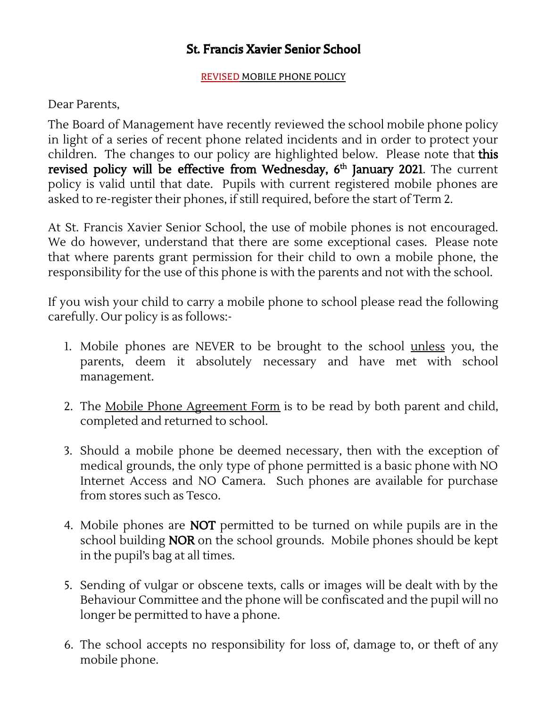### St. Francis Xavier Senior School

#### REVISED MOBILE PHONE POLICY

#### Dear Parents,

The Board of Management have recently reviewed the school mobile phone policy in light of a series of recent phone related incidents and in order to protect your children. The changes to our policy are highlighted below. Please note that this **revised policy will be effective from Wednesday,**  $6^{\text{th}}$  **January 2021**. The current policy is valid until that date. Pupils with current registered mobile phones are asked to re-register their phones, if still required, before the start of Term 2.

At St. Francis Xavier Senior School, the use of mobile phones is not encouraged. We do however, understand that there are some exceptional cases. Please note that where parents grant permission for their child to own a mobile phone, the responsibility for the use of this phone is with the parents and not with the school.

If you wish your child to carry a mobile phone to school please read the following carefully. Our policy is as follows:-

- 1. Mobile phones are NEVER to be brought to the school unless you, the parents, deem it absolutely necessary and have met with school management.
- 2. The Mobile Phone Agreement Form is to be read by both parent and child, completed and returned to school.
- 3. Should a mobile phone be deemed necessary, then with the exception of medical grounds, the only type of phone permitted is a basic phone with NO Internet Access and NO Camera. Such phones are available for purchase from stores such as Tesco.
- 4. Mobile phones are **NOT** permitted to be turned on while pupils are in the school building NOR on the school grounds. Mobile phones should be kept in the pupil's bag at all times.
- 5. Sending of vulgar or obscene texts, calls or images will be dealt with by the Behaviour Committee and the phone will be confiscated and the pupil will no longer be permitted to have a phone.
- 6. The school accepts no responsibility for loss of, damage to, or theft of any mobile phone.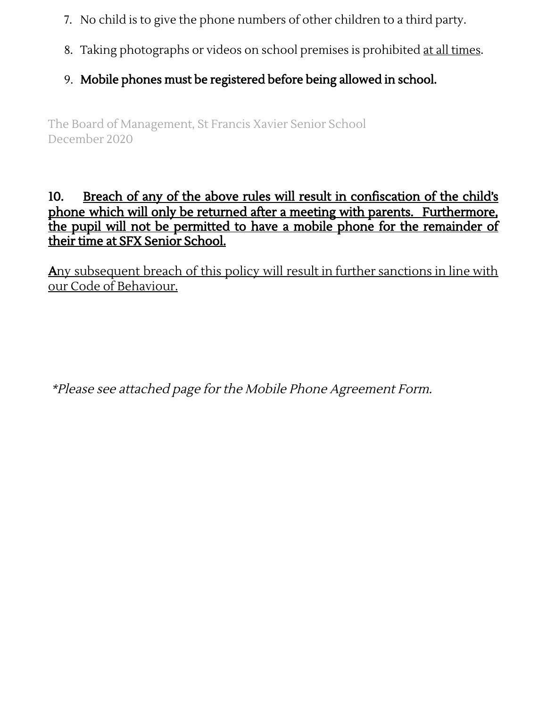- 7. No child is to give the phone numbers of other children to a third party.
- 8. Taking photographs or videos on school premises is prohibited at all times.
- 9. Mobile phones must be registered before being allowed in school.

The Board of Management, St Francis Xavier Senior School December 2020

### 10. Breach of any of the above rules will result in confiscation of the child's phone which will only be returned after a meeting with parents. Furthermore, the pupil will not be permitted to have a mobile phone for the remainder of their time at SFX Senior School.

Any subsequent breach of this policy will result in further sanctions in line with our Code of Behaviour.

\*Please see attached page for the Mobile Phone Agreement Form.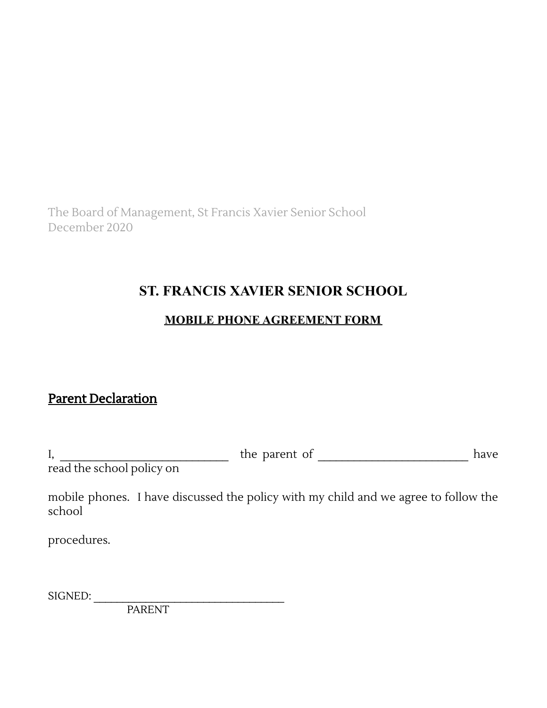The Board of Management, St Francis Xavier Senior School December 2020

## **ST. FRANCIS XAVIER SENIOR SCHOOL**

### **MOBILE PHONE AGREEMENT FORM**

### Parent Declaration

| л,                                                  | ٦ρ |  |
|-----------------------------------------------------|----|--|
| المدام المستقال والمسامي المستقل والطارات والمستعدد |    |  |

read the school policy on

mobile phones. I have discussed the policy with my child and we agree to follow the school

procedures.

SIGNED:

PARENT